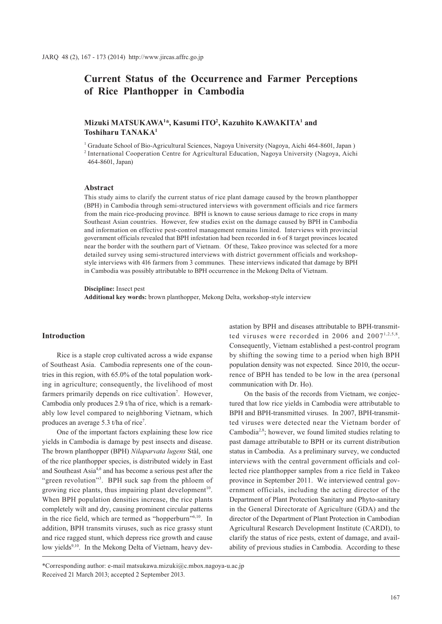# **Current Status of the Occurrence and Farmer Perceptions of Rice Planthopper in Cambodia**

# **Mizuki MATSUKAWA1 \*, Kasumi ITO2 , Kazuhito KAWAKITA1 and Toshiharu TANAKA1**

<sup>1</sup> Graduate School of Bio-Agricultural Sciences, Nagoya University (Nagoya, Aichi 464-8601, Japan) 2 International Cooperation Centre for Agricultural Education, Nagoya University (Nagoya, Aichi 464-8601, Japan)

## **Abstract**

This study aims to clarify the current status of rice plant damage caused by the brown planthopper (BPH) in Cambodia through semi-structured interviews with government officials and rice farmers from the main rice-producing province. BPH is known to cause serious damage to rice crops in many Southeast Asian countries. However, few studies exist on the damage caused by BPH in Cambodia and information on effective pest-control management remains limited. Interviews with provincial government officials revealed that BPH infestation had been recorded in 6 of 8 target provinces located near the border with the southern part of Vietnam. Of these, Takeo province was selected for a more detailed survey using semi-structured interviews with district government officials and workshopstyle interviews with 416 farmers from 3 communes. These interviews indicated that damage by BPH in Cambodia was possibly attributable to BPH occurrence in the Mekong Delta of Vietnam.

**Discipline:** Insect pest **Additional key words:** brown planthopper, Mekong Delta, workshop-style interview

## **Introduction**

Rice is a staple crop cultivated across a wide expanse of Southeast Asia. Cambodia represents one of the countries in this region, with 65.0% of the total population working in agriculture; consequently, the livelihood of most farmers primarily depends on rice cultivation<sup>7</sup>. However, Cambodia only produces 2.9 t/ha of rice, which is a remarkably low level compared to neighboring Vietnam, which produces an average 5.3 t/ha of rice<sup>7</sup>.

One of the important factors explaining these low rice yields in Cambodia is damage by pest insects and disease. The brown planthopper (BPH) *Nilaparvata lugens* Stål, one of the rice planthopper species, is distributed widely in East and Southeast Asia4,6 and has become a serious pest after the "green revolution"<sup>3</sup>. BPH suck sap from the phloem of growing rice plants, thus impairing plant development<sup>10</sup>. When BPH population densities increase, the rice plants completely wilt and dry, causing prominent circular patterns in the rice field, which are termed as "hopperburn"<sup>6,10</sup>. In addition, BPH transmits viruses, such as rice grassy stunt and rice ragged stunt, which depress rice growth and cause low yields<sup>9,10</sup>. In the Mekong Delta of Vietnam, heavy dev-

astation by BPH and diseases attributable to BPH-transmitted viruses were recorded in 2006 and  $2007^{1,2,5,8}$ . Consequently, Vietnam established a pest-control program by shifting the sowing time to a period when high BPH population density was not expected. Since 2010, the occurrence of BPH has tended to be low in the area (personal communication with Dr. Ho).

On the basis of the records from Vietnam, we conjectured that low rice yields in Cambodia were attributable to BPH and BPH-transmitted viruses. In 2007, BPH-transmitted viruses were detected near the Vietnam border of Cambodia<sup>2,8</sup>; however, we found limited studies relating to past damage attributable to BPH or its current distribution status in Cambodia. As a preliminary survey, we conducted interviews with the central government officials and collected rice planthopper samples from a rice field in Takeo province in September 2011. We interviewed central government officials, including the acting director of the Department of Plant Protection Sanitary and Phyto-sanitary in the General Directorate of Agriculture (GDA) and the director of the Department of Plant Protection in Cambodian Agricultural Research Development Institute (CARDI), to clarify the status of rice pests, extent of damage, and availability of previous studies in Cambodia. According to these

<sup>\*</sup>Corresponding author: e-mail matsukawa.mizuki@c.mbox.nagoya-u.ac.jp Received 21 March 2013; accepted 2 September 2013.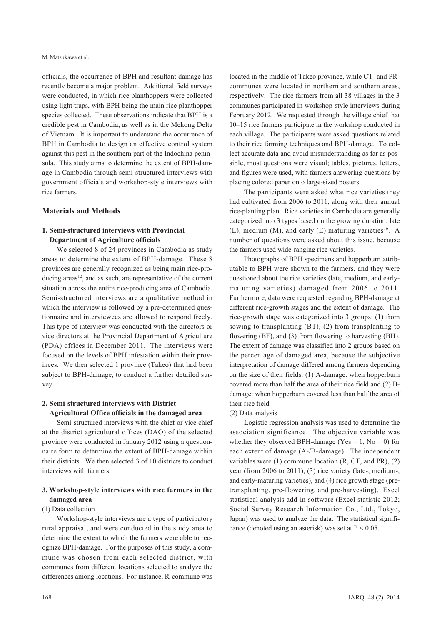officials, the occurrence of BPH and resultant damage has recently become a major problem. Additional field surveys were conducted, in which rice planthoppers were collected using light traps, with BPH being the main rice planthopper species collected. These observations indicate that BPH is a credible pest in Cambodia, as well as in the Mekong Delta of Vietnam. It is important to understand the occurrence of BPH in Cambodia to design an effective control system against this pest in the southern part of the Indochina peninsula. This study aims to determine the extent of BPH-damage in Cambodia through semi-structured interviews with government officials and workshop-style interviews with rice farmers.

## **Materials and Methods**

## **1. Semi-structured interviews with Provincial Department of Agriculture officials**

We selected 8 of 24 provinces in Cambodia as study areas to determine the extent of BPH-damage. These 8 provinces are generally recognized as being main rice-producing areas<sup>12</sup>, and as such, are representative of the current situation across the entire rice-producing area of Cambodia. Semi-structured interviews are a qualitative method in which the interview is followed by a pre-determined questionnaire and interviewees are allowed to respond freely. This type of interview was conducted with the directors or vice directors at the Provincial Department of Agriculture (PDA) offices in December 2011. The interviews were focused on the levels of BPH infestation within their provinces. We then selected 1 province (Takeo) that had been subject to BPH-damage, to conduct a further detailed survey.

## **2. Semi-structured interviews with District Agricultural Office officials in the damaged area**

Semi-structured interviews with the chief or vice chief at the district agricultural offices (DAO) of the selected province were conducted in January 2012 using a questionnaire form to determine the extent of BPH-damage within their districts. We then selected 3 of 10 districts to conduct interviews with farmers.

# **3. Workshop-style interviews with rice farmers in the damaged area**

#### (1) Data collection

Workshop-style interviews are a type of participatory rural appraisal, and were conducted in the study area to determine the extent to which the farmers were able to recognize BPH-damage. For the purposes of this study, a commune was chosen from each selected district, with communes from different locations selected to analyze the differences among locations. For instance, R-commune was

located in the middle of Takeo province, while CT- and PRcommunes were located in northern and southern areas, respectively. The rice farmers from all 38 villages in the 3 communes participated in workshop-style interviews during February 2012. We requested through the village chief that 10–15 rice farmers participate in the workshop conducted in each village. The participants were asked questions related to their rice farming techniques and BPH-damage. To collect accurate data and avoid misunderstanding as far as possible, most questions were visual; tables, pictures, letters, and figures were used, with farmers answering questions by placing colored paper onto large-sized posters.

The participants were asked what rice varieties they had cultivated from 2006 to 2011, along with their annual rice-planting plan. Rice varieties in Cambodia are generally categorized into 3 types based on the growing duration: late (L), medium (M), and early (E) maturing varieties<sup>16</sup>. A number of questions were asked about this issue, because the farmers used wide-ranging rice varieties.

Photographs of BPH specimens and hopperburn attributable to BPH were shown to the farmers, and they were questioned about the rice varieties (late, medium, and earlymaturing varieties) damaged from 2006 to 2011. Furthermore, data were requested regarding BPH-damage at different rice-growth stages and the extent of damage. The rice-growth stage was categorized into 3 groups: (1) from sowing to transplanting (BT), (2) from transplanting to flowering (BF), and (3) from flowering to harvesting (BH). The extent of damage was classified into 2 groups based on the percentage of damaged area, because the subjective interpretation of damage differed among farmers depending on the size of their fields: (1) A-damage: when hopperburn covered more than half the area of their rice field and (2) Bdamage: when hopperburn covered less than half the area of their rice field.

#### (2) Data analysis

Logistic regression analysis was used to determine the association significance. The objective variable was whether they observed BPH-damage (Yes =  $1$ , No = 0) for each extent of damage (A-/B-damage). The independent variables were (1) commune location (R, CT, and PR), (2) year (from 2006 to 2011), (3) rice variety (late-, medium-, and early-maturing varieties), and (4) rice growth stage (pretransplanting, pre-flowering, and pre-harvesting). Excel statistical analysis add-in software (Excel statistic 2012; Social Survey Research Information Co., Ltd., Tokyo, Japan) was used to analyze the data. The statistical significance (denoted using an asterisk) was set at  $P < 0.05$ .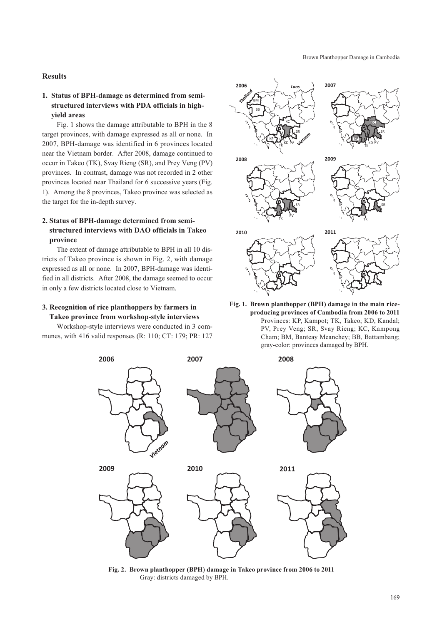## **Results**

# **1. Status of BPH-damage as determined from semistructured interviews with PDA officials in highyield areas**

Fig. 1 shows the damage attributable to BPH in the 8 target provinces, with damage expressed as all or none. In 2007, BPH-damage was identified in 6 provinces located near the Vietnam border. After 2008, damage continued to occur in Takeo (TK), Svay Rieng (SR), and Prey Veng (PV) provinces. In contrast, damage was not recorded in 2 other provinces located near Thailand for 6 successive years (Fig. 1). Among the 8 provinces, Takeo province was selected as the target for the in-depth survey.

# **2. Status of BPH-damage determined from semistructured interviews with DAO officials in Takeo province**

The extent of damage attributable to BPH in all 10 districts of Takeo province is shown in Fig. 2, with damage expressed as all or none. In 2007, BPH-damage was identified in all districts. After 2008, the damage seemed to occur in only a few districts located close to Vietnam.

# **3. Recognition of rice planthoppers by farmers in Takeo province from workshop-style interviews**

Workshop-style interviews were conducted in 3 communes, with 416 valid responses (R: 110; CT: 179; PR: 127



**Fig. 1. Brown planthopper (BPH) damage in the main riceproducing provinces of Cambodia from 2006 to 2011** Provinces: KP, Kampot; TK, Takeo; KD, Kandal; PV, Prey Veng; SR, Svay Rieng; KC, Kampong Cham; BM, Banteay Meanchey; BB, Battambang; gray-color: provinces damaged by BPH.



**Fig. 2. Brown planthopper (BPH) damage in Takeo province from 2006 to 2011** Gray: districts damaged by BPH.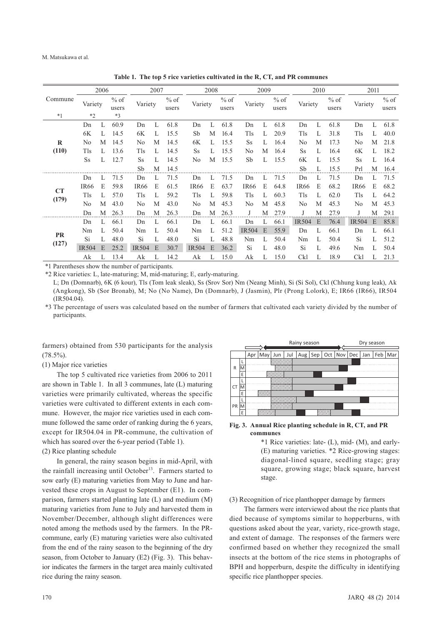M. Matsukawa et al.

Commune 2006 2007 2008 2009 2010 2011 Variety  $\frac{\%}{\%}$  of Variety  $\frac{\% \text{ of}}{\text{users}}$ Variety  $\frac{\% \text{ of}}{\text{users}}$ Variety  $\frac{\% \text{ of}}{\text{users}}$ Variety  $\frac{\% \text{ of}}{\text{users}}$ Variety  $\%$  of users \*1 \*2 \*3 **R (110)** Dn L 60.9 Dn L 61.8 Dn L 61.8 Dn L 61.8 Dn L 61.8 Dn L 61.8 6K L 14.5 6K L 15.5 Sb M 16.4 Tls L 20.9 Tls L 31.8 Tls L 40.0 No M 14.5 No M 14.5 6K L 15.5 Ss L 16.4 No M 17.3 No M 21.8 Tls L 13.6 Tls L 14.5 Ss L 15.5 No M 16.4 Ss L 16.4 6K L 18.2 Ss L 12.7 Ss L 14.5 No M 15.5 Sb L 15.5 6K L 15.5 Ss L 16.4 Sb M 14.5 Sb L 15.5 Prl M 16.4 **CT (179)** Dn L 71.5 Dn L 71.5 Dn L 71.5 Dn L 71.5 Dn L 71.5 Dn L 71.5 IR66 E 59.8 IR66 E 61.5 IR66 E 63.7 IR66 E 64.8 IR66 E 68.2 IR66 E 68.2 Tls L 57.0 Tls L 59.2 Tls L 59.8 Tls L 60.3 Tls L 62.0 Tls L 64.2 No M 43.0 No M 43.0 No M 45.3 No M 45.8 No M 45.3 No M 45.3 Dn M 26.3 Dn M 26.3 Dn M 26.3 J M 27.9 J M 27.9 J M 29.1 **PR (127)** Dn L 66.1 Dn L 66.1 Dn L 66.1 Dn L 66.1 IR504 E 76.4 IR504 E 85.8 Nm L 50.4 Nm L 50.4 Nm L 51.2 IR504 E 55.9 Dn L 66.1 Dn L 66.1 Si L 48.0 Si L 48.0 Si L 48.8 Nm L 50.4 Nm L 50.4 Si L 51.2 IR504 E 25.2 IR504 E 30.7 IR504 E 36.2 Si L 48.0 Si L 49.6 Nm L 50.4 Ak L 13.4 Ak L 14.2 Ak L 15.0 Ak L 15.0 Ckl L 18.9 Ckl L 21.3

**Table 1. The top 5 rice varieties cultivated in the R, CT, and PR communes**

\*1 Parentheses show the number of participants.

\*2 Rice varieties: L, late-maturing; M, mid-maturing; E, early-maturing.

 L; Dn (Domnarb), 6K (6 kour), Tls (Tom leak sleak), Ss (Srov Sor) Nm (Neang Minh), Si (Si Sol), Ckl (Chhung kung leak), Ak (Angkong), Sb (Sor Bronab), M; No (No Name), Dn (Domnarb), J (Jasmin), Plr (Prong Lolork), E; IR66 (IR66), IR504 (IR504.04).

\*3 The percentage of users was calculated based on the number of farmers that cultivated each variety divided by the number of participants.

farmers) obtained from 530 participants for the analysis  $(78.5\%)$ .

(1) Major rice varieties

The top 5 cultivated rice varieties from 2006 to 2011 are shown in Table 1. In all 3 communes, late (L) maturing varieties were primarily cultivated, whereas the specific varieties were cultivated to different extents in each commune. However, the major rice varieties used in each commune followed the same order of ranking during the 6 years, except for IR504.04 in PR-commune, the cultivation of which has soared over the 6-year period (Table 1).

#### (2) Rice planting schedule

In general, the rainy season begins in mid-April, with the rainfall increasing until October<sup>13</sup>. Farmers started to sow early (E) maturing varieties from May to June and harvested these crops in August to September (E1). In comparison, farmers started planting late (L) and medium (M) maturing varieties from June to July and harvested them in November/December, although slight differences were noted among the methods used by the farmers. In the PRcommune, early (E) maturing varieties were also cultivated from the end of the rainy season to the beginning of the dry season, from October to January (E2) (Fig. 3). This behavior indicates the farmers in the target area mainly cultivated rice during the rainy season.



**Fig. 3. Annual Rice planting schedule in R, CT, and PR communes**

\*1 Rice varieties: late- (L), mid- (M), and early- (E) maturing varieties. \*2 Rice-growing stages: diagonal-lined square, seedling stage; gray square, growing stage; black square, harvest stage.

#### (3) Recognition of rice planthopper damage by farmers

The farmers were interviewed about the rice plants that died because of symptoms similar to hopperburns, with questions asked about the year, variety, rice-growth stage, and extent of damage. The responses of the farmers were confirmed based on whether they recognized the small insects at the bottom of the rice stems in photographs of BPH and hopperburn, despite the difficulty in identifying specific rice planthopper species.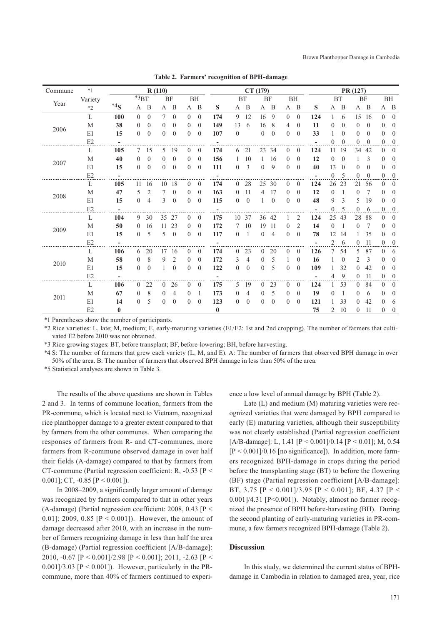| Commune | $*_{1}$ |          |                |                | R(110)         |              |                |                |              |                |                | CT(179)        |                |              |                |                          |                |              | PR (127)       |                |                |                |
|---------|---------|----------|----------------|----------------|----------------|--------------|----------------|----------------|--------------|----------------|----------------|----------------|----------------|--------------|----------------|--------------------------|----------------|--------------|----------------|----------------|----------------|----------------|
|         | Variety |          | $*3BT$         |                |                | <b>BF</b>    | <b>BH</b>      |                |              |                | <b>BT</b>      |                | BF             |              | BH             |                          | <b>BT</b>      |              |                | BF             |                | BH             |
| Year    | $*2$    | $*4s$    | А              | B              | A              | B            | A B            |                | S            |                | A B            |                | A B            | A            | B              | S                        | A              | B            |                | A B            | A B            |                |
|         | L       | 100      | $\theta$       | $\theta$       | $\overline{7}$ | $\theta$     | $\theta$       | $\theta$       | 174          | 9              | 12             | 16             | 9              | $\theta$     | $\theta$       | 124                      | $\mathbf{1}$   | 6            | 15             | 16             | $\theta$       | $\theta$       |
|         | M       | 38       | $\overline{0}$ | $\overline{0}$ | $\Omega$       | $\mathbf{0}$ | $\Omega$       | $\mathbf{0}$   | 149          | 13             | 6              | 16             | 8              | 4            | $\mathbf{0}$   | 11                       | $\Omega$       | $\Omega$     | $\overline{0}$ | $\mathbf{0}$   | $\Omega$       | $\overline{0}$ |
| 2006    | E1      | 15       | $\theta$       | $\theta$       | $\Omega$       | $\theta$     | $\theta$       | $\theta$       | 107          | $\theta$       |                | $\overline{0}$ | $\theta$       | $\Omega$     | $\theta$       | 33                       | 1              | $\theta$     | $\overline{0}$ | $\theta$       | $\Omega$       | $\theta$       |
|         | E2      |          |                |                |                |              |                |                |              |                |                |                |                |              |                |                          | $\overline{0}$ | $\mathbf{0}$ | $\overline{0}$ | $\overline{0}$ | $\Omega$       | $\overline{0}$ |
|         | L       | 105      | $7^{\circ}$    | -15            | 5              | 19           | $\overline{0}$ | $\theta$       | 174          | 6              | 21             | 23             | 34             | $\mathbf{0}$ | $\theta$       | 124                      | 11             | 19           | 34             | 42             | $\theta$       | $\overline{0}$ |
|         | M       | 40       | $\theta$       | $\mathbf{0}$   | $\Omega$       | $\mathbf{0}$ | $\theta$       | $\mathbf{0}$   | 156          | $\mathbf{1}$   | 10             | 1              | 16             | $\theta$     | $\theta$       | 12                       | $\theta$       | $\Omega$     | 1              | 3              | $\Omega$       | $\overline{0}$ |
| 2007    | E1      | 15       | $\theta$       | $\theta$       | $\Omega$       | $\theta$     | $\theta$       | $\theta$       | 111          | $\Omega$       | 3              | $\Omega$       | 9              | $\theta$     | $\theta$       | 40                       | 13             | $\Omega$     | $\Omega$       | $\theta$       | $\theta$       | $\theta$       |
|         | E2      |          |                |                |                |              |                |                |              |                |                |                |                |              |                |                          | $\overline{0}$ | 5            | $\overline{0}$ | $\mathbf{0}$   | $\theta$       | $\overline{0}$ |
|         | L       | 105      | 11             | 16             | 10             | 18           | $\overline{0}$ | $\overline{0}$ | 174          | $\overline{0}$ | 28             | 25             | 30             | $\mathbf{0}$ | $\theta$       | 124                      | 26             | 23           | 21             | 56             | $\theta$       | $\overline{0}$ |
|         | M       | 47       | 5              | $\overline{2}$ |                | $\theta$     | $\theta$       | $\mathbf{0}$   | 163          | $\theta$       | 11             | 4              | 17             | $\theta$     | $\theta$       | 12                       | $\theta$       |              | 0              | 7              | $\theta$       | $\theta$       |
| 2008    | E1      | 15       | $\theta$       | $\overline{4}$ | 3              | $\theta$     | $\Omega$       | $\theta$       | 115          | $\theta$       | $\theta$       | $\mathbf{1}$   | $\theta$       | $\theta$     | $\theta$       | 48                       | 9              | 3            | 5              | 19             | $\Omega$       | $\theta$       |
|         | E2      |          |                |                |                |              |                |                |              |                |                |                |                |              |                |                          | $\overline{0}$ | 5            | 0              | 6              | $\overline{0}$ | $\overline{0}$ |
|         | L       | 104      | 9              | 30             | 35             | 27           | $\theta$       | $\overline{0}$ | 175          | 10             | 37             | 36             | 42             |              | 2              | 124                      | 25             | 43           | 28             | 88             | $\Omega$       | $\overline{0}$ |
| 2009    | M       | 50       | $\theta$       | 16             | 11             | 23           | $\theta$       | $\mathbf{0}$   | 172          | $\tau$         | 10             | 19             | -11            | $\theta$     | $\overline{c}$ | 14                       | $\theta$       | -1           | $\overline{0}$ | 7              | $\Omega$       | $\theta$       |
|         | E1      | 15       | $\theta$       | 5              | 5              | $\theta$     | $\Omega$       | $\theta$       | 117          | $\theta$       | $\overline{1}$ | $\theta$       | $\overline{4}$ | $\Omega$     | $\Omega$       | 78                       | 12             | 14           | 1              | 35             | $\Omega$       | $\theta$       |
|         | E2      |          |                |                |                |              |                |                |              |                |                |                |                |              |                | $\overline{\phantom{a}}$ | 2              | 6            | $\overline{0}$ | 11             | $\theta$       | $\overline{0}$ |
|         | L       | 106      | 6              | 20             | 17             | 16           | $\overline{0}$ | $\mathbf{0}$   | 174          | $\mathbf{0}$   | 23             | $\overline{0}$ | 20             | $\theta$     | $\theta$       | 126                      | $\tau$         | 54           | 5.             | 87             | $\Omega$       | 6              |
| 2010    | M       | 58       | $\left($       | 8              | 9              | 2            | $\Omega$       | $\Omega$       | 172          | 3              | 4              | $\theta$       | 5              |              | $\theta$       | 16                       |                | $\theta$     | 2              | 3              | $\theta$       | $\theta$       |
|         | E1      | 15       | $\theta$       | $\overline{0}$ |                | $\mathbf{0}$ | $\Omega$       | $\theta$       | 122          | $\Omega$       | $\theta$       | $\Omega$       | 5              | $\theta$     | $\theta$       | 109                      |                | 32           | $\theta$       | 42             | $\Omega$       | $\overline{0}$ |
|         | E2      |          |                |                |                |              |                |                |              |                |                |                |                |              |                | ÷.                       | 4              | 9            | $\overline{0}$ | 11             | $\mathbf{0}$   | $\overline{0}$ |
|         | L       | 106      | $\overline{0}$ | 22             | $\Omega$       | 26           | $\theta$       | $\mathbf{0}$   | 175          | 5.             | 19             | $\theta$       | 23             | $\theta$     | $\Omega$       | 124                      |                | 53           | $\Omega$       | 84             | $\theta$       | $\overline{0}$ |
|         | M       | 67       | $\Omega$       | 8              | $\Omega$       | 4            | $\theta$       | 1              | 173          | $\mathbf{0}$   | 4              | $\left($       | 5              | $\theta$     | $\theta$       | 19                       | $\Omega$       | 1            | $\Omega$       | 6              | $\theta$       | $\theta$       |
| 2011    | E1      | 14       | $\overline{0}$ | 5              | $\theta$       | $\theta$     | $\theta$       | $\theta$       | 123          | $\theta$       | $\Omega$       | $\Omega$       | $\theta$       | $\theta$     | $\theta$       | 121                      |                | 33           | $\theta$       | 42             | $\Omega$       | 6              |
|         | E2      | $\bf{0}$ |                |                |                |              |                |                | $\mathbf{0}$ |                |                |                |                |              |                | 75                       | 2              | 10           | $\overline{0}$ | 11             | $\theta$       | $\mathbf{0}$   |

**Table 2. Farmers' recognition of BPH-damage**

\*1 Parentheses show the number of participants.

\*2 Rice varieties: L, late; M, medium; E, early-maturing varieties (E1/E2: 1st and 2nd cropping). The number of farmers that cultivated E2 before 2010 was not obtained.

\*3 Rice-growing stages: BT, before transplant; BF, before-lowering; BH, before harvesting.

\*4 S: The number of farmers that grew each variety (L, M, and E). A: The number of farmers that observed BPH damage in over 50% of the area. B: The number of farmers that observed BPH damage in less than 50% of the area.

\*5 Statistical analyses are shown in Table 3.

The results of the above questions are shown in Tables 2 and 3. In terms of commune location, farmers from the PR-commune, which is located next to Vietnam, recognized rice planthopper damage to a greater extent compared to that by farmers from the other communes. When comparing the responses of farmers from R- and CT-communes, more farmers from R-commune observed damage in over half their fields (A-damage) compared to that by farmers from CT-commune (Partial regression coefficient: R, -0.53 [P < 0.001]; CT,  $-0.85$  [P  $\leq$  0.001]).

In 2008–2009, a significantly larger amount of damage was recognized by farmers compared to that in other years (A-damage) (Partial regression coefficient: 2008, 0.43 [P < 0.01]; 2009, 0.85 [P < 0.001]). However, the amount of damage decreased after 2010, with an increase in the number of farmers recognizing damage in less than half the area (B-damage) (Partial regression coefficient [A/B-damage]: 2010,  $-0.67$  [P < 0.001]/2.98 [P < 0.001]; 2011,  $-2.63$  [P <  $0.001$ ]/3.03 [P < 0.001]). However, particularly in the PRcommune, more than 40% of farmers continued to experience a low level of annual damage by BPH (Table 2).

Late (L) and medium (M) maturing varieties were recognized varieties that were damaged by BPH compared to early (E) maturing varieties, although their susceptibility was not clearly established (Partial regression coefficient [A/B-damage]: L, 1.41 [P < 0.001]/0.14 [P < 0.01]; M, 0.54  $[P \le 0.001]/0.16$  [no significance]). In addition, more farmers recognized BPH-damage in crops during the period before the transplanting stage (BT) to before the flowering (BF) stage (Partial regression coefficient [A/B-damage]: BT, 3.75  $[P < 0.001]/3.95$   $[P < 0.001]$ ; BF, 4.37  $[P < 0.001]$ 0.001]/4.31 [P<0.001]). Notably, almost no farmer recognized the presence of BPH before-harvesting (BH). During the second planting of early-maturing varieties in PR-commune, a few farmers recognized BPH-damage (Table 2).

# **Discussion**

In this study, we determined the current status of BPHdamage in Cambodia in relation to damaged area, year, rice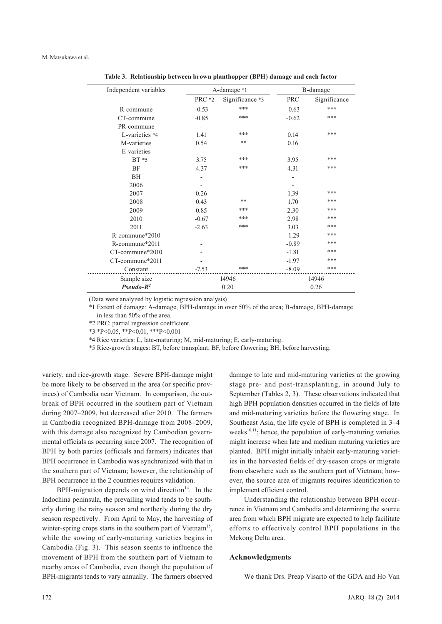| Independent variables |               | A-damage *1     | B-damage   |              |  |  |  |
|-----------------------|---------------|-----------------|------------|--------------|--|--|--|
|                       | <b>PRC *2</b> | Significance *3 | <b>PRC</b> | Significance |  |  |  |
| R-commune             | $-0.53$       | ***             | $-0.63$    | ***          |  |  |  |
| CT-commune            | $-0.85$       | ***             | $-0.62$    | ***          |  |  |  |
| PR-commune            |               |                 |            |              |  |  |  |
| L-varieties *4        | 1.41          | ***             | 0.14       | ***          |  |  |  |
| M-varieties           | 0.54          | **              | 0.16       |              |  |  |  |
| E-varieties           |               |                 |            |              |  |  |  |
| $BT * 5$              | 3.75          | ***             | 3.95       | ***          |  |  |  |
| <b>BF</b>             | 4.37          | ***             | 4.31       | ***          |  |  |  |
| <b>BH</b>             |               |                 |            |              |  |  |  |
| 2006                  |               |                 |            |              |  |  |  |
| 2007                  | 0.26          |                 | 1.39       | ***          |  |  |  |
| 2008                  | 0.43          | **              | 1.70       | ***          |  |  |  |
| 2009                  | 0.85          | ***             | 2.30       | ***          |  |  |  |
| 2010                  | $-0.67$       | ***             | 2.98       | ***          |  |  |  |
| 2011                  | $-2.63$       | ***             | 3.03       | ***          |  |  |  |
| R-commune*2010        |               |                 | $-1.29$    | ***          |  |  |  |
| R-commune*2011        |               |                 | $-0.89$    | ***          |  |  |  |
| CT-commune*2010       |               |                 | $-1.81$    | ***          |  |  |  |
| CT-commune*2011       |               |                 | $-1.97$    | ***          |  |  |  |
| Constant              | $-7.53$       | ***             | $-8.09$    | ***          |  |  |  |
| Sample size           |               | 14946           |            | 14946        |  |  |  |
| $Pseudo-R^2$          |               | 0.20            | 0.26       |              |  |  |  |

**Table 3. Relationship between brown planthopper (BPH) damage and each factor**

(Data were analyzed by logistic regression analysis)

\*1 Extent of damage: A-damage, BPH-damage in over 50% of the area; B-damage, BPH-damage in less than 50% of the area.

\*2 PRC: partial regression coefficient.

\*3 \*P<0.05, \*\*P<0.01, \*\*\*P<0.001

\*4 Rice varieties: L, late-maturing; M, mid-maturing; E, early-maturing.

\*5 Rice-growth stages: BT, before transplant; BF, before flowering; BH, before harvesting.

variety, and rice-growth stage. Severe BPH-damage might be more likely to be observed in the area (or specific provinces) of Cambodia near Vietnam. In comparison, the outbreak of BPH occurred in the southern part of Vietnam during 2007–2009, but decreased after 2010. The farmers in Cambodia recognized BPH-damage from 2008–2009, with this damage also recognized by Cambodian governmental officials as occurring since 2007. The recognition of BPH by both parties (officials and farmers) indicates that BPH occurrence in Cambodia was synchronized with that in the southern part of Vietnam; however, the relationship of BPH occurrence in the 2 countries requires validation.

BPH-migration depends on wind direction $14$ . In the Indochina peninsula, the prevailing wind tends to be southerly during the rainy season and northerly during the dry season respectively. From April to May, the harvesting of winter-spring crops starts in the southern part of Vietnam<sup>15</sup>, while the sowing of early-maturing varieties begins in Cambodia (Fig. 3). This season seems to influence the movement of BPH from the southern part of Vietnam to nearby areas of Cambodia, even though the population of BPH-migrants tends to vary annually. The farmers observed

damage to late and mid-maturing varieties at the growing stage pre- and post-transplanting, in around July to September (Tables 2, 3). These observations indicated that high BPH population densities occurred in the fields of late and mid-maturing varieties before the flowering stage. In Southeast Asia, the life cycle of BPH is completed in 3–4 weeks<sup>10,11</sup>; hence, the population of early-maturing varieties might increase when late and medium maturing varieties are planted. BPH might initially inhabit early-maturing varieties in the harvested fields of dry-season crops or migrate from elsewhere such as the southern part of Vietnam; however, the source area of migrants requires identification to implement efficient control.

Understanding the relationship between BPH occurrence in Vietnam and Cambodia and determining the source area from which BPH migrate are expected to help facilitate efforts to effectively control BPH populations in the Mekong Delta area.

#### **Acknowledgments**

We thank Drs. Preap Visarto of the GDA and Ho Van